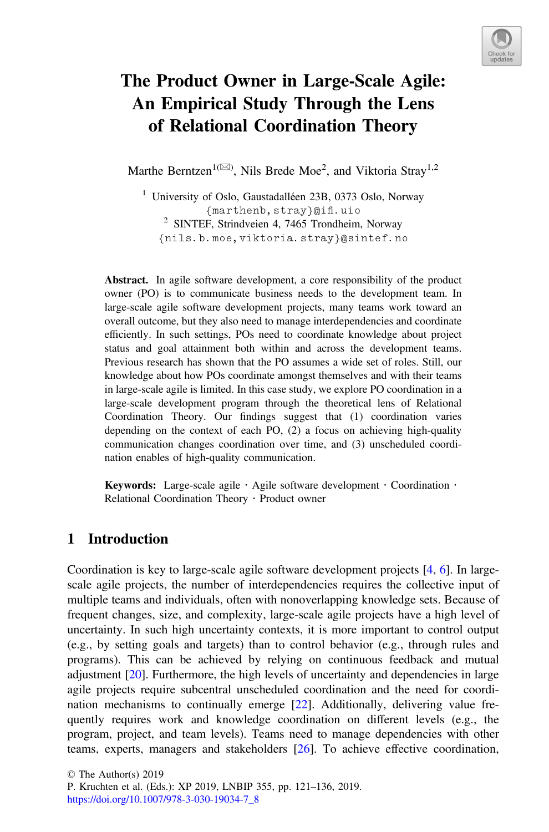

# The Product Owner in Large-Scale Agile: An Empirical Study Through the Lens of Relational Coordination Theory

Marthe Berntzen<sup>1( $\boxtimes$ )</sup>, Nils Brede Moe<sup>2</sup>, and Viktoria Stray<sup>1,2</sup>

<sup>1</sup> University of Oslo, Gaustadalléen 23B, 0373 Oslo, Norway {marthenb,stray}@ifi.uio <sup>2</sup> SINTEF, Strindveien 4, 7465 Trondheim, Norway {nils.b.moe,viktoria.stray}@sintef.no

Abstract. In agile software development, a core responsibility of the product owner (PO) is to communicate business needs to the development team. In large-scale agile software development projects, many teams work toward an overall outcome, but they also need to manage interdependencies and coordinate efficiently. In such settings, POs need to coordinate knowledge about project status and goal attainment both within and across the development teams. Previous research has shown that the PO assumes a wide set of roles. Still, our knowledge about how POs coordinate amongst themselves and with their teams in large-scale agile is limited. In this case study, we explore PO coordination in a large-scale development program through the theoretical lens of Relational Coordination Theory. Our findings suggest that (1) coordination varies depending on the context of each PO, (2) a focus on achieving high-quality communication changes coordination over time, and (3) unscheduled coordination enables of high-quality communication.

Keywords: Large-scale agile  $\cdot$  Agile software development  $\cdot$  Coordination  $\cdot$  Relational Coordination Theory  $\cdot$  Product owner

# 1 Introduction

Coordination is key to large-scale agile software development projects [[4,](#page-14-0) [6](#page-14-0)]. In largescale agile projects, the number of interdependencies requires the collective input of multiple teams and individuals, often with nonoverlapping knowledge sets. Because of frequent changes, size, and complexity, large-scale agile projects have a high level of uncertainty. In such high uncertainty contexts, it is more important to control output (e.g., by setting goals and targets) than to control behavior (e.g., through rules and programs). This can be achieved by relying on continuous feedback and mutual adjustment [\[20](#page-15-0)]. Furthermore, the high levels of uncertainty and dependencies in large agile projects require subcentral unscheduled coordination and the need for coordination mechanisms to continually emerge [\[22](#page-15-0)]. Additionally, delivering value frequently requires work and knowledge coordination on different levels (e.g., the program, project, and team levels). Teams need to manage dependencies with other teams, experts, managers and stakeholders [\[26](#page-15-0)]. To achieve effective coordination,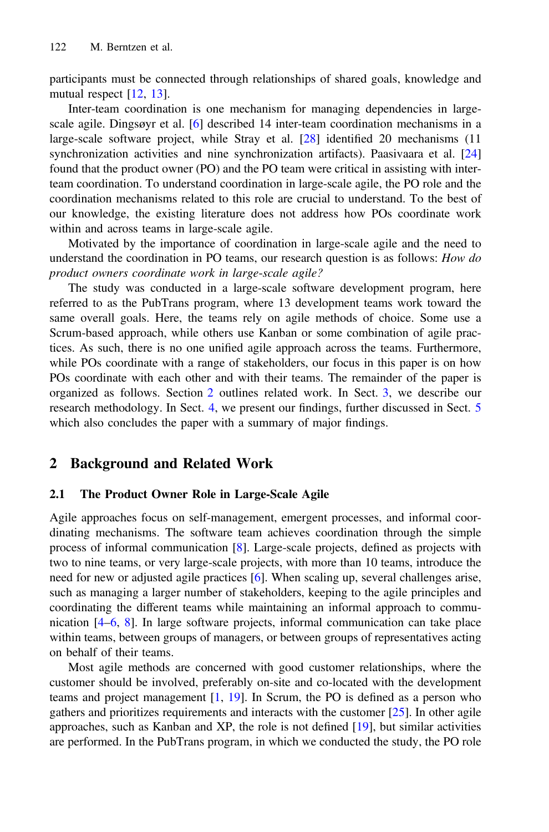participants must be connected through relationships of shared goals, knowledge and mutual respect [[12,](#page-14-0) [13\]](#page-14-0).

Inter-team coordination is one mechanism for managing dependencies in largescale agile. Dingsøyr et al. [[6\]](#page-14-0) described 14 inter-team coordination mechanisms in a large-scale software project, while Stray et al. [\[28](#page-15-0)] identified 20 mechanisms (11 synchronization activities and nine synchronization artifacts). Paasivaara et al. [\[24](#page-15-0)] found that the product owner (PO) and the PO team were critical in assisting with interteam coordination. To understand coordination in large-scale agile, the PO role and the coordination mechanisms related to this role are crucial to understand. To the best of our knowledge, the existing literature does not address how POs coordinate work within and across teams in large-scale agile.

Motivated by the importance of coordination in large-scale agile and the need to understand the coordination in PO teams, our research question is as follows: How do product owners coordinate work in large-scale agile?

The study was conducted in a large-scale software development program, here referred to as the PubTrans program, where 13 development teams work toward the same overall goals. Here, the teams rely on agile methods of choice. Some use a Scrum-based approach, while others use Kanban or some combination of agile practices. As such, there is no one unified agile approach across the teams. Furthermore, while POs coordinate with a range of stakeholders, our focus in this paper is on how POs coordinate with each other and with their teams. The remainder of the paper is organized as follows. Section 2 outlines related work. In Sect. [3](#page-4-0), we describe our research methodology. In Sect. [4](#page-6-0), we present our findings, further discussed in Sect. [5](#page-10-0) which also concludes the paper with a summary of major findings.

# 2 Background and Related Work

#### 2.1 The Product Owner Role in Large-Scale Agile

Agile approaches focus on self-management, emergent processes, and informal coordinating mechanisms. The software team achieves coordination through the simple process of informal communication [\[8](#page-14-0)]. Large-scale projects, defined as projects with two to nine teams, or very large-scale projects, with more than 10 teams, introduce the need for new or adjusted agile practices [[6\]](#page-14-0). When scaling up, several challenges arise, such as managing a larger number of stakeholders, keeping to the agile principles and coordinating the different teams while maintaining an informal approach to communication [\[4](#page-14-0)–[6](#page-14-0), [8\]](#page-14-0). In large software projects, informal communication can take place within teams, between groups of managers, or between groups of representatives acting on behalf of their teams.

Most agile methods are concerned with good customer relationships, where the customer should be involved, preferably on-site and co-located with the development teams and project management [[1,](#page-14-0) [19\]](#page-14-0). In Scrum, the PO is defined as a person who gathers and prioritizes requirements and interacts with the customer [\[25](#page-15-0)]. In other agile approaches, such as Kanban and XP, the role is not defined [\[19](#page-14-0)], but similar activities are performed. In the PubTrans program, in which we conducted the study, the PO role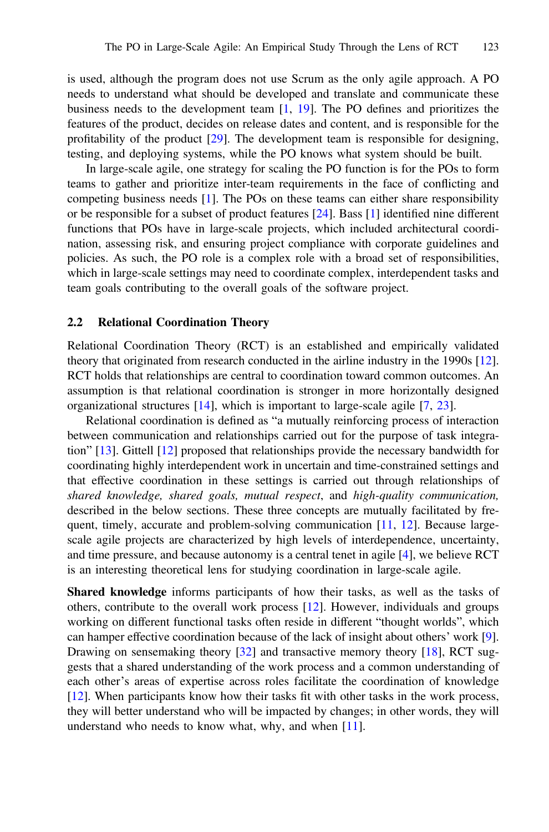is used, although the program does not use Scrum as the only agile approach. A PO needs to understand what should be developed and translate and communicate these business needs to the development team  $[1, 19]$  $[1, 19]$  $[1, 19]$  $[1, 19]$  $[1, 19]$ . The PO defines and prioritizes the features of the product, decides on release dates and content, and is responsible for the profitability of the product [[29\]](#page-15-0). The development team is responsible for designing, testing, and deploying systems, while the PO knows what system should be built.

In large-scale agile, one strategy for scaling the PO function is for the POs to form teams to gather and prioritize inter-team requirements in the face of conflicting and competing business needs [[1\]](#page-14-0). The POs on these teams can either share responsibility or be responsible for a subset of product features [\[24](#page-15-0)]. Bass [\[1](#page-14-0)] identified nine different functions that POs have in large-scale projects, which included architectural coordination, assessing risk, and ensuring project compliance with corporate guidelines and policies. As such, the PO role is a complex role with a broad set of responsibilities, which in large-scale settings may need to coordinate complex, interdependent tasks and team goals contributing to the overall goals of the software project.

#### 2.2 Relational Coordination Theory

Relational Coordination Theory (RCT) is an established and empirically validated theory that originated from research conducted in the airline industry in the 1990s [[12\]](#page-14-0). RCT holds that relationships are central to coordination toward common outcomes. An assumption is that relational coordination is stronger in more horizontally designed organizational structures [\[14](#page-14-0)], which is important to large-scale agile [\[7](#page-14-0), [23\]](#page-15-0).

Relational coordination is defined as "a mutually reinforcing process of interaction between communication and relationships carried out for the purpose of task integration" [[13\]](#page-14-0). Gittell [\[12](#page-14-0)] proposed that relationships provide the necessary bandwidth for coordinating highly interdependent work in uncertain and time-constrained settings and that effective coordination in these settings is carried out through relationships of shared knowledge, shared goals, mutual respect, and high-quality communication, described in the below sections. These three concepts are mutually facilitated by frequent, timely, accurate and problem-solving communication [[11,](#page-14-0) [12\]](#page-14-0). Because largescale agile projects are characterized by high levels of interdependence, uncertainty, and time pressure, and because autonomy is a central tenet in agile [\[4](#page-14-0)], we believe RCT is an interesting theoretical lens for studying coordination in large-scale agile.

Shared knowledge informs participants of how their tasks, as well as the tasks of others, contribute to the overall work process [[12\]](#page-14-0). However, individuals and groups working on different functional tasks often reside in different "thought worlds", which can hamper effective coordination because of the lack of insight about others' work [[9\]](#page-14-0). Drawing on sensemaking theory [[32\]](#page-15-0) and transactive memory theory [[18\]](#page-14-0), RCT suggests that a shared understanding of the work process and a common understanding of each other's areas of expertise across roles facilitate the coordination of knowledge [\[12](#page-14-0)]. When participants know how their tasks fit with other tasks in the work process, they will better understand who will be impacted by changes; in other words, they will understand who needs to know what, why, and when [\[11](#page-14-0)].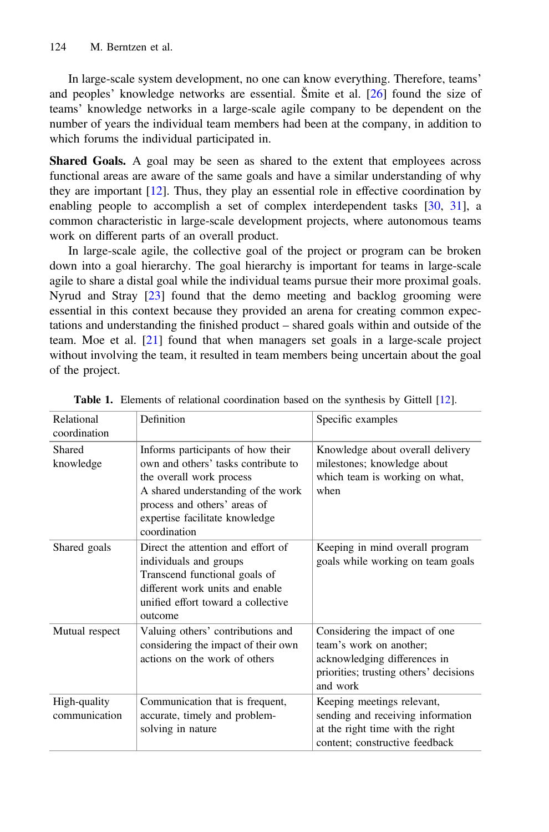<span id="page-3-0"></span>In large-scale system development, no one can know everything. Therefore, teams' and peoples' knowledge networks are essential. Šmite et al. [[26\]](#page-15-0) found the size of teams' knowledge networks in a large-scale agile company to be dependent on the number of years the individual team members had been at the company, in addition to which forums the individual participated in.

Shared Goals. A goal may be seen as shared to the extent that employees across functional areas are aware of the same goals and have a similar understanding of why they are important [\[12](#page-14-0)]. Thus, they play an essential role in effective coordination by enabling people to accomplish a set of complex interdependent tasks [[30,](#page-15-0) [31](#page-15-0)], a common characteristic in large-scale development projects, where autonomous teams work on different parts of an overall product.

In large-scale agile, the collective goal of the project or program can be broken down into a goal hierarchy. The goal hierarchy is important for teams in large-scale agile to share a distal goal while the individual teams pursue their more proximal goals. Nyrud and Stray [[23\]](#page-15-0) found that the demo meeting and backlog grooming were essential in this context because they provided an arena for creating common expectations and understanding the finished product – shared goals within and outside of the team. Moe et al. [\[21](#page-15-0)] found that when managers set goals in a large-scale project without involving the team, it resulted in team members being uncertain about the goal of the project.

| Relational<br>coordination    | Definition                                                                                                                                                                                                                   | Specific examples                                                                                                                              |  |
|-------------------------------|------------------------------------------------------------------------------------------------------------------------------------------------------------------------------------------------------------------------------|------------------------------------------------------------------------------------------------------------------------------------------------|--|
| Shared<br>knowledge           | Informs participants of how their<br>own and others' tasks contribute to<br>the overall work process<br>A shared understanding of the work<br>process and others' areas of<br>expertise facilitate knowledge<br>coordination | Knowledge about overall delivery<br>milestones; knowledge about<br>which team is working on what,<br>when                                      |  |
| Shared goals                  | Direct the attention and effort of<br>individuals and groups<br>Transcend functional goals of<br>different work units and enable<br>unified effort toward a collective<br>outcome                                            | Keeping in mind overall program<br>goals while working on team goals                                                                           |  |
| Mutual respect                | Valuing others' contributions and<br>considering the impact of their own<br>actions on the work of others                                                                                                                    | Considering the impact of one<br>team's work on another;<br>acknowledging differences in<br>priorities; trusting others' decisions<br>and work |  |
| High-quality<br>communication | Communication that is frequent,<br>accurate, timely and problem-<br>solving in nature                                                                                                                                        | Keeping meetings relevant,<br>sending and receiving information<br>at the right time with the right<br>content; constructive feedback          |  |

Table 1. Elements of relational coordination based on the synthesis by Gittell [\[12\]](#page-14-0).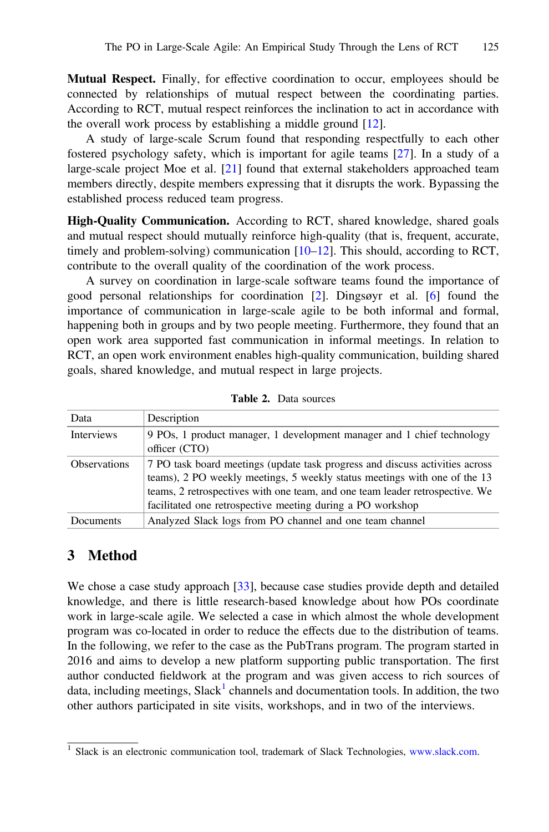<span id="page-4-0"></span>Mutual Respect. Finally, for effective coordination to occur, employees should be connected by relationships of mutual respect between the coordinating parties. According to RCT, mutual respect reinforces the inclination to act in accordance with the overall work process by establishing a middle ground [[12\]](#page-14-0).

A study of large-scale Scrum found that responding respectfully to each other fostered psychology safety, which is important for agile teams [\[27](#page-15-0)]. In a study of a large-scale project Moe et al. [\[21](#page-15-0)] found that external stakeholders approached team members directly, despite members expressing that it disrupts the work. Bypassing the established process reduced team progress.

High-Quality Communication. According to RCT, shared knowledge, shared goals and mutual respect should mutually reinforce high-quality (that is, frequent, accurate, timely and problem-solving) communication [[10](#page-14-0)–[12\]](#page-14-0). This should, according to RCT, contribute to the overall quality of the coordination of the work process.

A survey on coordination in large-scale software teams found the importance of good personal relationships for coordination [[2\]](#page-14-0). Dingsøyr et al. [\[6](#page-14-0)] found the importance of communication in large-scale agile to be both informal and formal, happening both in groups and by two people meeting. Furthermore, they found that an open work area supported fast communication in informal meetings. In relation to RCT, an open work environment enables high-quality communication, building shared goals, shared knowledge, and mutual respect in large projects.

| Data                | Description                                                                                                                                                                                                                                                                                              |
|---------------------|----------------------------------------------------------------------------------------------------------------------------------------------------------------------------------------------------------------------------------------------------------------------------------------------------------|
| Interviews          | 9 POs, 1 product manager, 1 development manager and 1 chief technology<br>officer (CTO)                                                                                                                                                                                                                  |
| <b>Observations</b> | 7 PO task board meetings (update task progress and discuss activities across)<br>teams), 2 PO weekly meetings, 5 weekly status meetings with one of the 13<br>teams, 2 retrospectives with one team, and one team leader retrospective. We<br>facilitated one retrospective meeting during a PO workshop |
| Documents           | Analyzed Slack logs from PO channel and one team channel                                                                                                                                                                                                                                                 |

Table 2. Data sources

# 3 Method

We chose a case study approach [\[33](#page-15-0)], because case studies provide depth and detailed knowledge, and there is little research-based knowledge about how POs coordinate work in large-scale agile. We selected a case in which almost the whole development program was co-located in order to reduce the effects due to the distribution of teams. In the following, we refer to the case as the PubTrans program. The program started in 2016 and aims to develop a new platform supporting public transportation. The first author conducted fieldwork at the program and was given access to rich sources of data, including meetings,  $Slack<sup>1</sup>$  channels and documentation tools. In addition, the two other authors participated in site visits, workshops, and in two of the interviews.

<sup>&</sup>lt;sup>1</sup> Slack is an electronic communication tool, trademark of Slack Technologies, [www.slack.com](http://www.slack.com).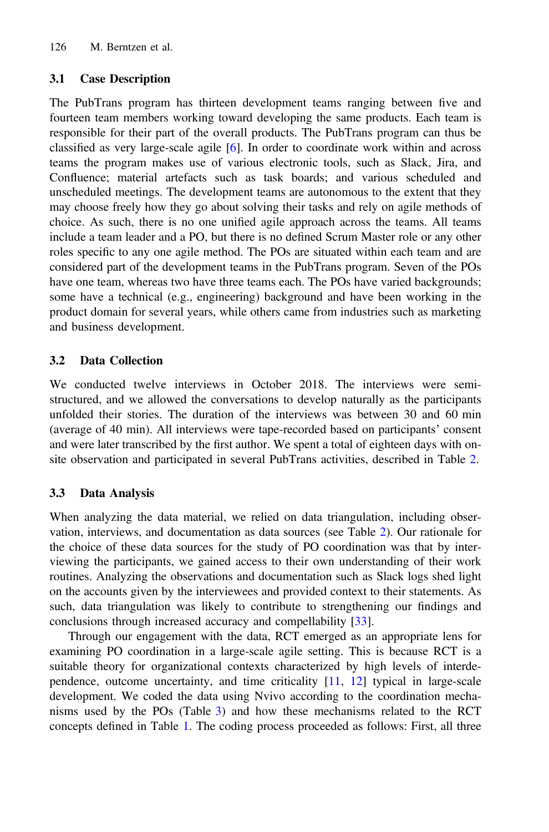## 3.1 Case Description

The PubTrans program has thirteen development teams ranging between five and fourteen team members working toward developing the same products. Each team is responsible for their part of the overall products. The PubTrans program can thus be classified as very large-scale agile [\[6](#page-14-0)]. In order to coordinate work within and across teams the program makes use of various electronic tools, such as Slack, Jira, and Confluence; material artefacts such as task boards; and various scheduled and unscheduled meetings. The development teams are autonomous to the extent that they may choose freely how they go about solving their tasks and rely on agile methods of choice. As such, there is no one unified agile approach across the teams. All teams include a team leader and a PO, but there is no defined Scrum Master role or any other roles specific to any one agile method. The POs are situated within each team and are considered part of the development teams in the PubTrans program. Seven of the POs have one team, whereas two have three teams each. The POs have varied backgrounds; some have a technical (e.g., engineering) background and have been working in the product domain for several years, while others came from industries such as marketing and business development.

# 3.2 Data Collection

We conducted twelve interviews in October 2018. The interviews were semistructured, and we allowed the conversations to develop naturally as the participants unfolded their stories. The duration of the interviews was between 30 and 60 min (average of 40 min). All interviews were tape-recorded based on participants' consent and were later transcribed by the first author. We spent a total of eighteen days with onsite observation and participated in several PubTrans activities, described in Table [2](#page-4-0).

# 3.3 Data Analysis

When analyzing the data material, we relied on data triangulation, including observation, interviews, and documentation as data sources (see Table [2](#page-4-0)). Our rationale for the choice of these data sources for the study of PO coordination was that by interviewing the participants, we gained access to their own understanding of their work routines. Analyzing the observations and documentation such as Slack logs shed light on the accounts given by the interviewees and provided context to their statements. As such, data triangulation was likely to contribute to strengthening our findings and conclusions through increased accuracy and compellability [\[33](#page-15-0)].

Through our engagement with the data, RCT emerged as an appropriate lens for examining PO coordination in a large-scale agile setting. This is because RCT is a suitable theory for organizational contexts characterized by high levels of interdependence, outcome uncertainty, and time criticality [[11,](#page-14-0) [12](#page-14-0)] typical in large-scale development. We coded the data using Nvivo according to the coordination mechanisms used by the POs (Table [3\)](#page-6-0) and how these mechanisms related to the RCT concepts defined in Table [1](#page-3-0). The coding process proceeded as follows: First, all three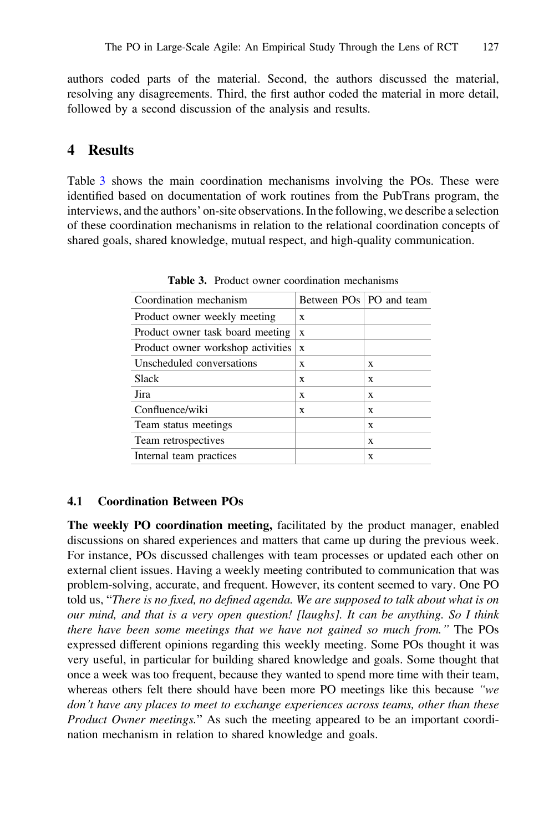<span id="page-6-0"></span>authors coded parts of the material. Second, the authors discussed the material, resolving any disagreements. Third, the first author coded the material in more detail, followed by a second discussion of the analysis and results.

## 4 Results

Table 3 shows the main coordination mechanisms involving the POs. These were identified based on documentation of work routines from the PubTrans program, the interviews, and the authors' on-site observations. In the following, we describe a selection of these coordination mechanisms in relation to the relational coordination concepts of shared goals, shared knowledge, mutual respect, and high-quality communication.

| Coordination mechanism            |   | Between POs   PO and team |
|-----------------------------------|---|---------------------------|
| Product owner weekly meeting      | X |                           |
| Product owner task board meeting  | X |                           |
| Product owner workshop activities | X |                           |
| Unscheduled conversations         | X | X                         |
| Slack                             | X | X                         |
| Jira                              | X | X                         |
| Confluence/wiki                   | X | X                         |
| Team status meetings              |   | X                         |
| Team retrospectives               |   | X                         |
| Internal team practices           |   | X                         |

Table 3. Product owner coordination mechanisms

## 4.1 Coordination Between POs

The weekly PO coordination meeting, facilitated by the product manager, enabled discussions on shared experiences and matters that came up during the previous week. For instance, POs discussed challenges with team processes or updated each other on external client issues. Having a weekly meeting contributed to communication that was problem-solving, accurate, and frequent. However, its content seemed to vary. One PO told us, "There is no fixed, no defined agenda. We are supposed to talk about what is on our mind, and that is a very open question! [laughs]. It can be anything. So I think there have been some meetings that we have not gained so much from." The POs expressed different opinions regarding this weekly meeting. Some POs thought it was very useful, in particular for building shared knowledge and goals. Some thought that once a week was too frequent, because they wanted to spend more time with their team, whereas others felt there should have been more PO meetings like this because "we don't have any places to meet to exchange experiences across teams, other than these Product Owner meetings." As such the meeting appeared to be an important coordination mechanism in relation to shared knowledge and goals.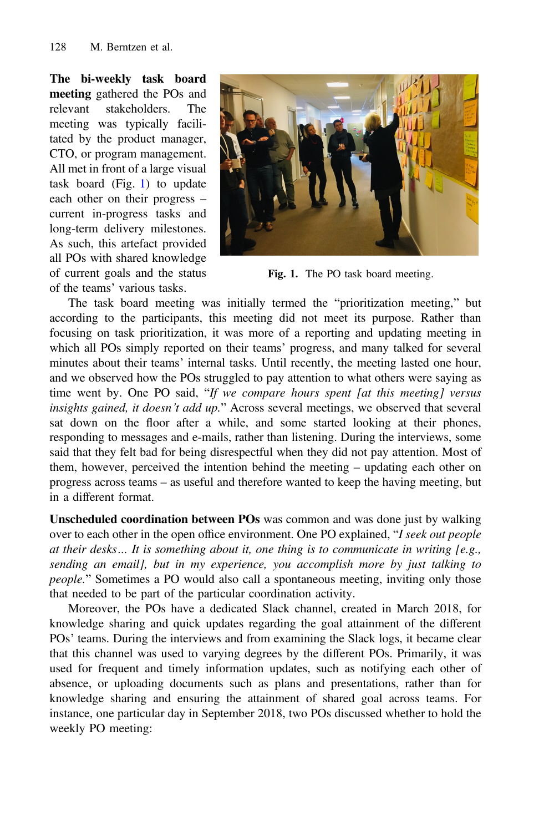The bi-weekly task board meeting gathered the POs and relevant stakeholders. The meeting was typically facilitated by the product manager, CTO, or program management. All met in front of a large visual task board  $(Fig. 1)$  to update each other on their progress – current in-progress tasks and long-term delivery milestones. As such, this artefact provided all POs with shared knowledge of current goals and the status of the teams' various tasks.



Fig. 1. The PO task board meeting.

The task board meeting was initially termed the "prioritization meeting," but according to the participants, this meeting did not meet its purpose. Rather than focusing on task prioritization, it was more of a reporting and updating meeting in which all POs simply reported on their teams' progress, and many talked for several minutes about their teams' internal tasks. Until recently, the meeting lasted one hour, and we observed how the POs struggled to pay attention to what others were saying as time went by. One PO said, "If we compare hours spent [at this meeting] versus insights gained, it doesn't add up." Across several meetings, we observed that several sat down on the floor after a while, and some started looking at their phones, responding to messages and e-mails, rather than listening. During the interviews, some said that they felt bad for being disrespectful when they did not pay attention. Most of them, however, perceived the intention behind the meeting – updating each other on progress across teams – as useful and therefore wanted to keep the having meeting, but in a different format.

Unscheduled coordination between POs was common and was done just by walking over to each other in the open office environment. One PO explained, "I seek out people at their desks… It is something about it, one thing is to communicate in writing [e.g., sending an email], but in my experience, you accomplish more by just talking to people." Sometimes a PO would also call a spontaneous meeting, inviting only those that needed to be part of the particular coordination activity.

Moreover, the POs have a dedicated Slack channel, created in March 2018, for knowledge sharing and quick updates regarding the goal attainment of the different POs' teams. During the interviews and from examining the Slack logs, it became clear that this channel was used to varying degrees by the different POs. Primarily, it was used for frequent and timely information updates, such as notifying each other of absence, or uploading documents such as plans and presentations, rather than for knowledge sharing and ensuring the attainment of shared goal across teams. For instance, one particular day in September 2018, two POs discussed whether to hold the weekly PO meeting: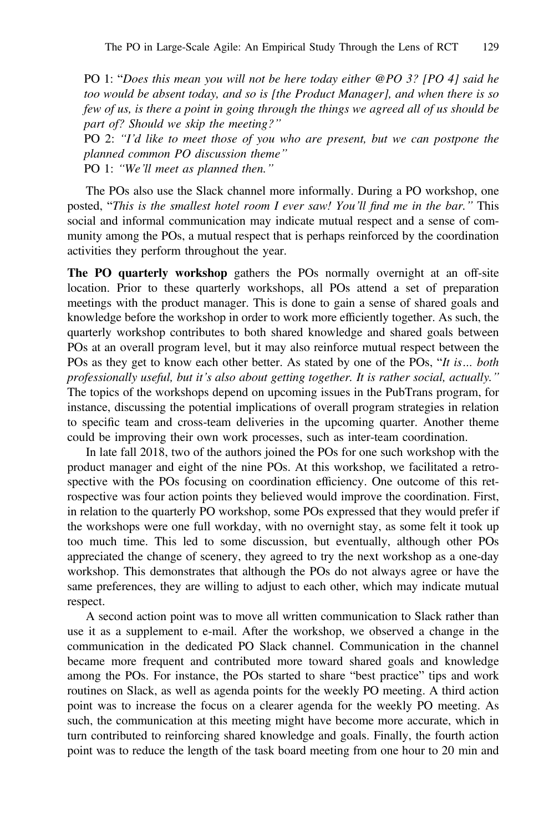PO 1: "Does this mean you will not be here today either @PO 3? [PO 4] said he too would be absent today, and so is [the Product Manager], and when there is so few of us, is there a point in going through the things we agreed all of us should be part of? Should we skip the meeting?"

PO 2: "I'd like to meet those of you who are present, but we can postpone the planned common PO discussion theme"

PO 1: "We'll meet as planned then."

The POs also use the Slack channel more informally. During a PO workshop, one posted, "This is the smallest hotel room I ever saw! You'll find me in the bar." This social and informal communication may indicate mutual respect and a sense of community among the POs, a mutual respect that is perhaps reinforced by the coordination activities they perform throughout the year.

The PO quarterly workshop gathers the POs normally overnight at an off-site location. Prior to these quarterly workshops, all POs attend a set of preparation meetings with the product manager. This is done to gain a sense of shared goals and knowledge before the workshop in order to work more efficiently together. As such, the quarterly workshop contributes to both shared knowledge and shared goals between POs at an overall program level, but it may also reinforce mutual respect between the POs as they get to know each other better. As stated by one of the POs, "It is... both professionally useful, but it's also about getting together. It is rather social, actually." The topics of the workshops depend on upcoming issues in the PubTrans program, for instance, discussing the potential implications of overall program strategies in relation to specific team and cross-team deliveries in the upcoming quarter. Another theme could be improving their own work processes, such as inter-team coordination.

In late fall 2018, two of the authors joined the POs for one such workshop with the product manager and eight of the nine POs. At this workshop, we facilitated a retrospective with the POs focusing on coordination efficiency. One outcome of this retrospective was four action points they believed would improve the coordination. First, in relation to the quarterly PO workshop, some POs expressed that they would prefer if the workshops were one full workday, with no overnight stay, as some felt it took up too much time. This led to some discussion, but eventually, although other POs appreciated the change of scenery, they agreed to try the next workshop as a one-day workshop. This demonstrates that although the POs do not always agree or have the same preferences, they are willing to adjust to each other, which may indicate mutual respect.

A second action point was to move all written communication to Slack rather than use it as a supplement to e-mail. After the workshop, we observed a change in the communication in the dedicated PO Slack channel. Communication in the channel became more frequent and contributed more toward shared goals and knowledge among the POs. For instance, the POs started to share "best practice" tips and work routines on Slack, as well as agenda points for the weekly PO meeting. A third action point was to increase the focus on a clearer agenda for the weekly PO meeting. As such, the communication at this meeting might have become more accurate, which in turn contributed to reinforcing shared knowledge and goals. Finally, the fourth action point was to reduce the length of the task board meeting from one hour to 20 min and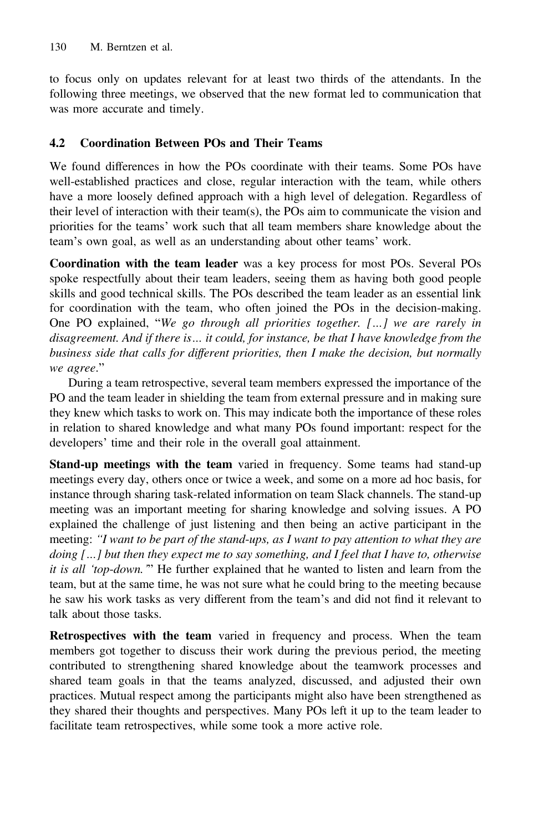to focus only on updates relevant for at least two thirds of the attendants. In the following three meetings, we observed that the new format led to communication that was more accurate and timely.

## 4.2 Coordination Between POs and Their Teams

We found differences in how the POs coordinate with their teams. Some POs have well-established practices and close, regular interaction with the team, while others have a more loosely defined approach with a high level of delegation. Regardless of their level of interaction with their team(s), the POs aim to communicate the vision and priorities for the teams' work such that all team members share knowledge about the team's own goal, as well as an understanding about other teams' work.

Coordination with the team leader was a key process for most POs. Several POs spoke respectfully about their team leaders, seeing them as having both good people skills and good technical skills. The POs described the team leader as an essential link for coordination with the team, who often joined the POs in the decision-making. One PO explained, "We go through all priorities together. […] we are rarely in disagreement. And if there is… it could, for instance, be that I have knowledge from the business side that calls for different priorities, then I make the decision, but normally we agree."

During a team retrospective, several team members expressed the importance of the PO and the team leader in shielding the team from external pressure and in making sure they knew which tasks to work on. This may indicate both the importance of these roles in relation to shared knowledge and what many POs found important: respect for the developers' time and their role in the overall goal attainment.

Stand-up meetings with the team varied in frequency. Some teams had stand-up meetings every day, others once or twice a week, and some on a more ad hoc basis, for instance through sharing task-related information on team Slack channels. The stand-up meeting was an important meeting for sharing knowledge and solving issues. A PO explained the challenge of just listening and then being an active participant in the meeting: "I want to be part of the stand-ups, as I want to pay attention to what they are doing  $[...]$  but then they expect me to say something, and I feel that I have to, otherwise it is all 'top-down." He further explained that he wanted to listen and learn from the team, but at the same time, he was not sure what he could bring to the meeting because he saw his work tasks as very different from the team's and did not find it relevant to talk about those tasks.

Retrospectives with the team varied in frequency and process. When the team members got together to discuss their work during the previous period, the meeting contributed to strengthening shared knowledge about the teamwork processes and shared team goals in that the teams analyzed, discussed, and adjusted their own practices. Mutual respect among the participants might also have been strengthened as they shared their thoughts and perspectives. Many POs left it up to the team leader to facilitate team retrospectives, while some took a more active role.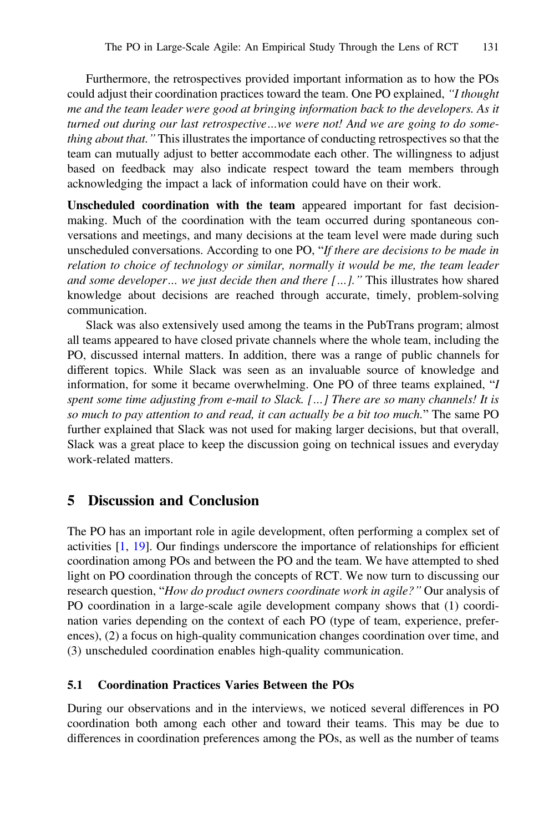<span id="page-10-0"></span>Furthermore, the retrospectives provided important information as to how the POs could adjust their coordination practices toward the team. One PO explained, "*I thought* me and the team leader were good at bringing information back to the developers. As it turned out during our last retrospective…we were not! And we are going to do something about that." This illustrates the importance of conducting retrospectives so that the team can mutually adjust to better accommodate each other. The willingness to adjust based on feedback may also indicate respect toward the team members through acknowledging the impact a lack of information could have on their work.

Unscheduled coordination with the team appeared important for fast decisionmaking. Much of the coordination with the team occurred during spontaneous conversations and meetings, and many decisions at the team level were made during such unscheduled conversations. According to one PO, "If there are decisions to be made in relation to choice of technology or similar, normally it would be me, the team leader and some developer... we just decide then and there  $[...]$ ." This illustrates how shared knowledge about decisions are reached through accurate, timely, problem-solving communication.

Slack was also extensively used among the teams in the PubTrans program; almost all teams appeared to have closed private channels where the whole team, including the PO, discussed internal matters. In addition, there was a range of public channels for different topics. While Slack was seen as an invaluable source of knowledge and information, for some it became overwhelming. One PO of three teams explained, "I spent some time adjusting from e-mail to Slack.  $[...]$  There are so many channels! It is so much to pay attention to and read, it can actually be a bit too much." The same PO further explained that Slack was not used for making larger decisions, but that overall, Slack was a great place to keep the discussion going on technical issues and everyday work-related matters.

# 5 Discussion and Conclusion

The PO has an important role in agile development, often performing a complex set of activities [[1,](#page-14-0) [19](#page-14-0)]. Our findings underscore the importance of relationships for efficient coordination among POs and between the PO and the team. We have attempted to shed light on PO coordination through the concepts of RCT. We now turn to discussing our research question, "How do product owners coordinate work in agile?" Our analysis of PO coordination in a large-scale agile development company shows that (1) coordination varies depending on the context of each PO (type of team, experience, preferences), (2) a focus on high-quality communication changes coordination over time, and (3) unscheduled coordination enables high-quality communication.

# 5.1 Coordination Practices Varies Between the POs

During our observations and in the interviews, we noticed several differences in PO coordination both among each other and toward their teams. This may be due to differences in coordination preferences among the POs, as well as the number of teams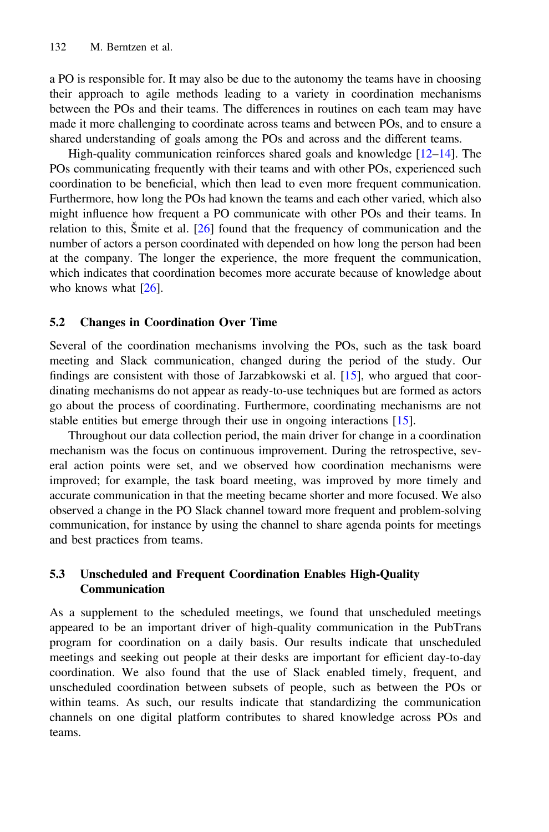a PO is responsible for. It may also be due to the autonomy the teams have in choosing their approach to agile methods leading to a variety in coordination mechanisms between the POs and their teams. The differences in routines on each team may have made it more challenging to coordinate across teams and between POs, and to ensure a shared understanding of goals among the POs and across and the different teams.

High-quality communication reinforces shared goals and knowledge  $[12–14]$  $[12–14]$  $[12–14]$  $[12–14]$ . The POs communicating frequently with their teams and with other POs, experienced such coordination to be beneficial, which then lead to even more frequent communication. Furthermore, how long the POs had known the teams and each other varied, which also might influence how frequent a PO communicate with other POs and their teams. In relation to this, Šmite et al. [\[26](#page-15-0)] found that the frequency of communication and the number of actors a person coordinated with depended on how long the person had been at the company. The longer the experience, the more frequent the communication, which indicates that coordination becomes more accurate because of knowledge about who knows what [\[26](#page-15-0)].

#### 5.2 Changes in Coordination Over Time

Several of the coordination mechanisms involving the POs, such as the task board meeting and Slack communication, changed during the period of the study. Our findings are consistent with those of Jarzabkowski et al. [[15\]](#page-14-0), who argued that coordinating mechanisms do not appear as ready-to-use techniques but are formed as actors go about the process of coordinating. Furthermore, coordinating mechanisms are not stable entities but emerge through their use in ongoing interactions [[15\]](#page-14-0).

Throughout our data collection period, the main driver for change in a coordination mechanism was the focus on continuous improvement. During the retrospective, several action points were set, and we observed how coordination mechanisms were improved; for example, the task board meeting, was improved by more timely and accurate communication in that the meeting became shorter and more focused. We also observed a change in the PO Slack channel toward more frequent and problem-solving communication, for instance by using the channel to share agenda points for meetings and best practices from teams.

## 5.3 Unscheduled and Frequent Coordination Enables High-Quality Communication

As a supplement to the scheduled meetings, we found that unscheduled meetings appeared to be an important driver of high-quality communication in the PubTrans program for coordination on a daily basis. Our results indicate that unscheduled meetings and seeking out people at their desks are important for efficient day-to-day coordination. We also found that the use of Slack enabled timely, frequent, and unscheduled coordination between subsets of people, such as between the POs or within teams. As such, our results indicate that standardizing the communication channels on one digital platform contributes to shared knowledge across POs and teams.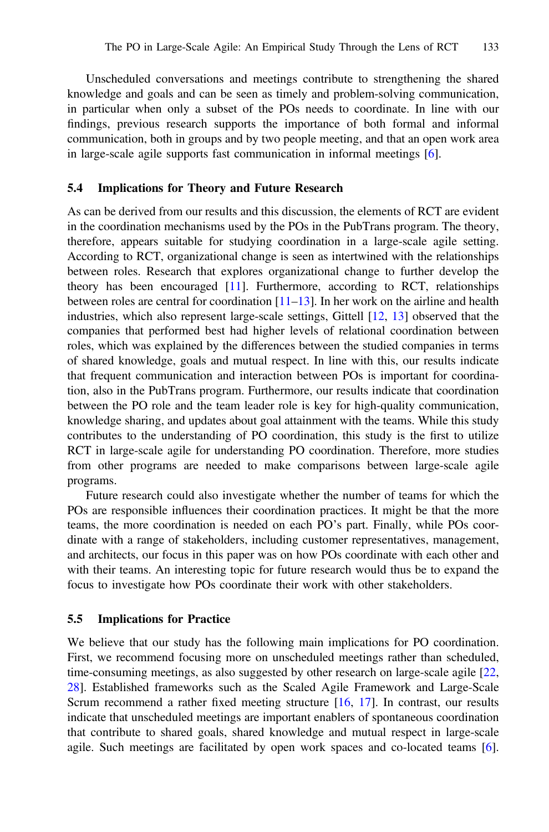Unscheduled conversations and meetings contribute to strengthening the shared knowledge and goals and can be seen as timely and problem-solving communication, in particular when only a subset of the POs needs to coordinate. In line with our findings, previous research supports the importance of both formal and informal communication, both in groups and by two people meeting, and that an open work area in large-scale agile supports fast communication in informal meetings [[6\]](#page-14-0).

#### 5.4 Implications for Theory and Future Research

As can be derived from our results and this discussion, the elements of RCT are evident in the coordination mechanisms used by the POs in the PubTrans program. The theory, therefore, appears suitable for studying coordination in a large-scale agile setting. According to RCT, organizational change is seen as intertwined with the relationships between roles. Research that explores organizational change to further develop the theory has been encouraged [[11\]](#page-14-0). Furthermore, according to RCT, relationships between roles are central for coordination [\[11](#page-14-0)–[13](#page-14-0)]. In her work on the airline and health industries, which also represent large-scale settings, Gittell [[12,](#page-14-0) [13\]](#page-14-0) observed that the companies that performed best had higher levels of relational coordination between roles, which was explained by the differences between the studied companies in terms of shared knowledge, goals and mutual respect. In line with this, our results indicate that frequent communication and interaction between POs is important for coordination, also in the PubTrans program. Furthermore, our results indicate that coordination between the PO role and the team leader role is key for high-quality communication, knowledge sharing, and updates about goal attainment with the teams. While this study contributes to the understanding of PO coordination, this study is the first to utilize RCT in large-scale agile for understanding PO coordination. Therefore, more studies from other programs are needed to make comparisons between large-scale agile programs.

Future research could also investigate whether the number of teams for which the POs are responsible influences their coordination practices. It might be that the more teams, the more coordination is needed on each PO's part. Finally, while POs coordinate with a range of stakeholders, including customer representatives, management, and architects, our focus in this paper was on how POs coordinate with each other and with their teams. An interesting topic for future research would thus be to expand the focus to investigate how POs coordinate their work with other stakeholders.

#### 5.5 Implications for Practice

We believe that our study has the following main implications for PO coordination. First, we recommend focusing more on unscheduled meetings rather than scheduled, time-consuming meetings, as also suggested by other research on large-scale agile [\[22](#page-15-0), [28\]](#page-15-0). Established frameworks such as the Scaled Agile Framework and Large-Scale Scrum recommend a rather fixed meeting structure [[16,](#page-14-0) [17](#page-14-0)]. In contrast, our results indicate that unscheduled meetings are important enablers of spontaneous coordination that contribute to shared goals, shared knowledge and mutual respect in large-scale agile. Such meetings are facilitated by open work spaces and co-located teams [[6\]](#page-14-0).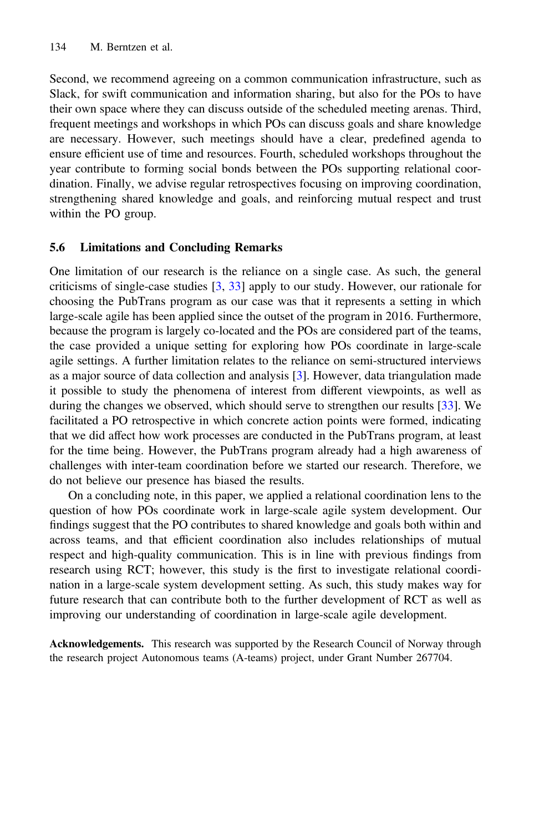Second, we recommend agreeing on a common communication infrastructure, such as Slack, for swift communication and information sharing, but also for the POs to have their own space where they can discuss outside of the scheduled meeting arenas. Third, frequent meetings and workshops in which POs can discuss goals and share knowledge are necessary. However, such meetings should have a clear, predefined agenda to ensure efficient use of time and resources. Fourth, scheduled workshops throughout the year contribute to forming social bonds between the POs supporting relational coordination. Finally, we advise regular retrospectives focusing on improving coordination, strengthening shared knowledge and goals, and reinforcing mutual respect and trust within the PO group.

#### 5.6 Limitations and Concluding Remarks

One limitation of our research is the reliance on a single case. As such, the general criticisms of single-case studies  $[3, 33]$  $[3, 33]$  $[3, 33]$  $[3, 33]$  $[3, 33]$  apply to our study. However, our rationale for choosing the PubTrans program as our case was that it represents a setting in which large-scale agile has been applied since the outset of the program in 2016. Furthermore, because the program is largely co-located and the POs are considered part of the teams, the case provided a unique setting for exploring how POs coordinate in large-scale agile settings. A further limitation relates to the reliance on semi-structured interviews as a major source of data collection and analysis [\[3](#page-14-0)]. However, data triangulation made it possible to study the phenomena of interest from different viewpoints, as well as during the changes we observed, which should serve to strengthen our results [\[33](#page-15-0)]. We facilitated a PO retrospective in which concrete action points were formed, indicating that we did affect how work processes are conducted in the PubTrans program, at least for the time being. However, the PubTrans program already had a high awareness of challenges with inter-team coordination before we started our research. Therefore, we do not believe our presence has biased the results.

On a concluding note, in this paper, we applied a relational coordination lens to the question of how POs coordinate work in large-scale agile system development. Our findings suggest that the PO contributes to shared knowledge and goals both within and across teams, and that efficient coordination also includes relationships of mutual respect and high-quality communication. This is in line with previous findings from research using RCT; however, this study is the first to investigate relational coordination in a large-scale system development setting. As such, this study makes way for future research that can contribute both to the further development of RCT as well as improving our understanding of coordination in large-scale agile development.

Acknowledgements. This research was supported by the Research Council of Norway through the research project Autonomous teams (A-teams) project, under Grant Number 267704.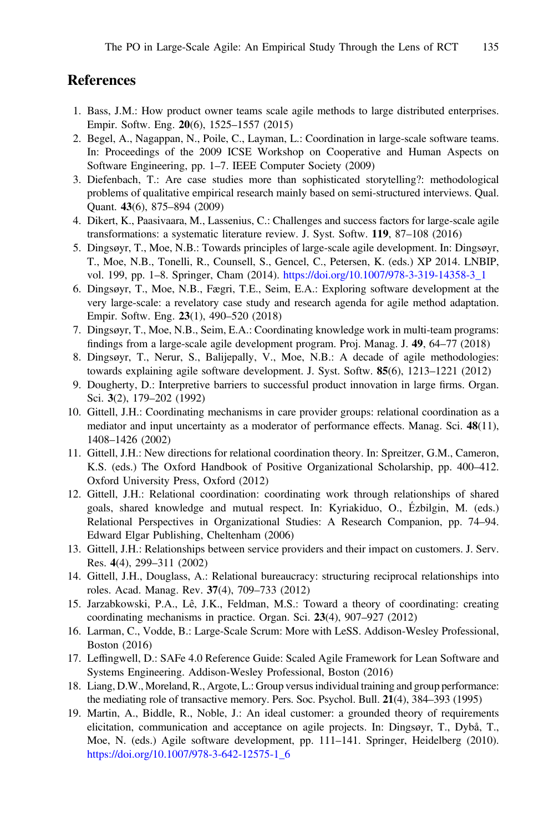## <span id="page-14-0"></span>References

- 1. Bass, J.M.: How product owner teams scale agile methods to large distributed enterprises. Empir. Softw. Eng. 20(6), 1525–1557 (2015)
- 2. Begel, A., Nagappan, N., Poile, C., Layman, L.: Coordination in large-scale software teams. In: Proceedings of the 2009 ICSE Workshop on Cooperative and Human Aspects on Software Engineering, pp. 1–7. IEEE Computer Society (2009)
- 3. Diefenbach, T.: Are case studies more than sophisticated storytelling?: methodological problems of qualitative empirical research mainly based on semi-structured interviews. Qual. Quant. 43(6), 875–894 (2009)
- 4. Dikert, K., Paasivaara, M., Lassenius, C.: Challenges and success factors for large-scale agile transformations: a systematic literature review. J. Syst. Softw. 119, 87–108 (2016)
- 5. Dingsøyr, T., Moe, N.B.: Towards principles of large-scale agile development. In: Dingsøyr, T., Moe, N.B., Tonelli, R., Counsell, S., Gencel, C., Petersen, K. (eds.) XP 2014. LNBIP, vol. 199, pp. 1–8. Springer, Cham (2014). [https://doi.org/10.1007/978-3-319-14358-3\\_1](http://dx.doi.org/10.1007/978-3-319-14358-3_1)
- 6. Dingsøyr, T., Moe, N.B., Fægri, T.E., Seim, E.A.: Exploring software development at the very large-scale: a revelatory case study and research agenda for agile method adaptation. Empir. Softw. Eng. 23(1), 490–520 (2018)
- 7. Dingsøyr, T., Moe, N.B., Seim, E.A.: Coordinating knowledge work in multi-team programs: findings from a large-scale agile development program. Proj. Manag. J. 49, 64–77 (2018)
- 8. Dingsøyr, T., Nerur, S., Balijepally, V., Moe, N.B.: A decade of agile methodologies: towards explaining agile software development. J. Syst. Softw. 85(6), 1213–1221 (2012)
- 9. Dougherty, D.: Interpretive barriers to successful product innovation in large firms. Organ. Sci. 3(2), 179–202 (1992)
- 10. Gittell, J.H.: Coordinating mechanisms in care provider groups: relational coordination as a mediator and input uncertainty as a moderator of performance effects. Manag. Sci. 48(11), 1408–1426 (2002)
- 11. Gittell, J.H.: New directions for relational coordination theory. In: Spreitzer, G.M., Cameron, K.S. (eds.) The Oxford Handbook of Positive Organizational Scholarship, pp. 400–412. Oxford University Press, Oxford (2012)
- 12. Gittell, J.H.: Relational coordination: coordinating work through relationships of shared goals, shared knowledge and mutual respect. In: Kyriakiduo, O., Ézbilgin, M. (eds.) Relational Perspectives in Organizational Studies: A Research Companion, pp. 74–94. Edward Elgar Publishing, Cheltenham (2006)
- 13. Gittell, J.H.: Relationships between service providers and their impact on customers. J. Serv. Res. 4(4), 299–311 (2002)
- 14. Gittell, J.H., Douglass, A.: Relational bureaucracy: structuring reciprocal relationships into roles. Acad. Manag. Rev. 37(4), 709–733 (2012)
- 15. Jarzabkowski, P.A., Lê, J.K., Feldman, M.S.: Toward a theory of coordinating: creating coordinating mechanisms in practice. Organ. Sci. 23(4), 907–927 (2012)
- 16. Larman, C., Vodde, B.: Large-Scale Scrum: More with LeSS. Addison-Wesley Professional, Boston (2016)
- 17. Leffingwell, D.: SAFe 4.0 Reference Guide: Scaled Agile Framework for Lean Software and Systems Engineering. Addison-Wesley Professional, Boston (2016)
- 18. Liang, D.W., Moreland, R., Argote, L.: Group versus individual training and group performance: the mediating role of transactive memory. Pers. Soc. Psychol. Bull. 21(4), 384–393 (1995)
- 19. Martin, A., Biddle, R., Noble, J.: An ideal customer: a grounded theory of requirements elicitation, communication and acceptance on agile projects. In: Dingsøyr, T., Dybå, T., Moe, N. (eds.) Agile software development, pp. 111–141. Springer, Heidelberg (2010). [https://doi.org/10.1007/978-3-642-12575-1\\_6](http://dx.doi.org/10.1007/978-3-642-12575-1_6)